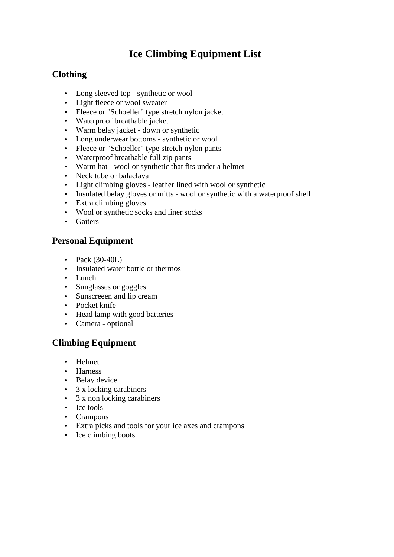# **Ice Climbing Equipment List**

## **Clothing**

- Long sleeved top synthetic or wool
- Light fleece or wool sweater
- Fleece or "Schoeller" type stretch nylon jacket
- Waterproof breathable jacket
- Warm belay jacket down or synthetic
- Long underwear bottoms synthetic or wool
- Fleece or "Schoeller" type stretch nylon pants
- Waterproof breathable full zip pants
- Warm hat wool or synthetic that fits under a helmet
- Neck tube or balaclava
- Light climbing gloves leather lined with wool or synthetic
- Insulated belay gloves or mitts wool or synthetic with a waterproof shell
- Extra climbing gloves
- Wool or synthetic socks and liner socks
- Gaiters

#### **Personal Equipment**

- Pack  $(30-40L)$
- Insulated water bottle or thermos
- Lunch
- Sunglasses or goggles
- Sunscreeen and lip cream
- Pocket knife
- Head lamp with good batteries
- Camera optional

### **Climbing Equipment**

- Helmet
- Harness
- Belay device
- 3 x locking carabiners
- 3 x non locking carabiners
- Ice tools
- Crampons
- Extra picks and tools for your ice axes and crampons
- Ice climbing boots